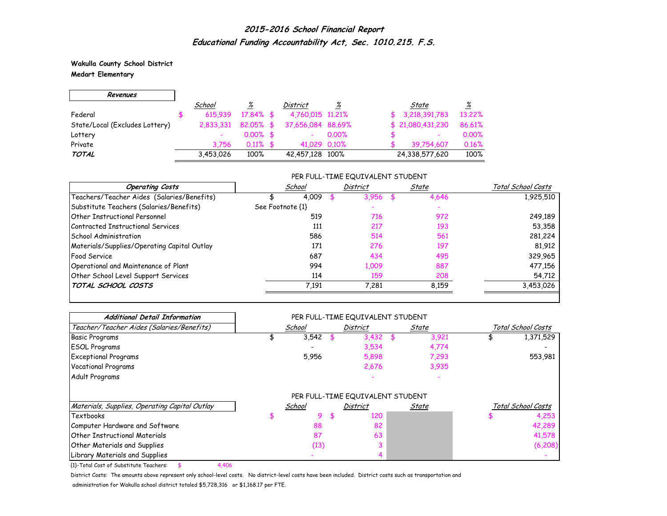**Wakulla County School District Medart Elementary**

 $\Gamma$ 

 $\overline{\phantom{0}}$ 

| Revenues                       |           |              |                   |       |                   |          |
|--------------------------------|-----------|--------------|-------------------|-------|-------------------|----------|
|                                | School    | <u>%</u>     | District          | ℅     | State             | <u>%</u> |
| Federal                        | 615.939   | 17.84% \$    | 4,760,015 11,21%  |       | \$3,218,391,783   | 13.22%   |
| State/Local (Excludes Lottery) | 2.833.331 | $82.05\%$ \$ | 37,656,084 88,69% |       | \$ 21,080,431,230 | 86.61%   |
| Lottery                        |           | $0.00\%$ \$  |                   | 0.00% | ۰                 | 0.00%    |
| Private                        | 3.756     | $0.11\%$ \$  | 41.029 0.10%      |       | 39.754.607        | 0.16%    |
| <b>TOTAL</b>                   | 3,453,026 | 100%         | 42,457,128 100%   |       | 24,338,577,620    | 100%     |

### PER FULL-TIME EQUIVALENT STUDENT

| <b>Operating Costs</b>                      | School           | District | State | Total School Costs |
|---------------------------------------------|------------------|----------|-------|--------------------|
| Teachers/Teacher Aides (Salaries/Benefits)  | 4.009            | 3,956    | 4,646 | 1,925,510          |
| Substitute Teachers (Salaries/Benefits)     | See Footnote {1} |          |       |                    |
| <b>Other Instructional Personnel</b>        | 519              | 716      | 972   | 249,189            |
| Contracted Instructional Services           | 111              | 217      | 193   | 53,358             |
| School Administration                       | 586              | 514      | 561   | 281,224            |
| Materials/Supplies/Operating Capital Outlay | 171              | 276      | 197   | 81,912             |
| <b>Food Service</b>                         | 687              | 434      | 495   | 329,965            |
| Operational and Maintenance of Plant        | 994              | 1,009    | 887   | 477,156            |
| Other School Level Support Services         | 114              | 159      | 208   | 54,712             |
| TOTAL SCHOOL COSTS                          | 7,191            | 7,281    | 8,159 | 3,453,026          |

| <b>Additional Detail Information</b>          |        |     | PER FULL-TIME EQUIVALENT STUDENT |       |       |                    |
|-----------------------------------------------|--------|-----|----------------------------------|-------|-------|--------------------|
| Teacher/Teacher Aides (Salaries/Benefits)     | School |     | <b>District</b>                  | State |       | Total School Costs |
| <b>Basic Programs</b>                         | 3,542  |     | 3,432                            |       | 3,921 | 1,371,529          |
| <b>ESOL Programs</b>                          |        |     | 3,534                            |       | 4,774 |                    |
| <b>Exceptional Programs</b>                   | 5,956  |     | 5,898                            |       | 7,293 | 553,981            |
| <b>Vocational Programs</b>                    |        |     | 2,676                            |       | 3,935 |                    |
| Adult Programs                                |        |     |                                  |       |       |                    |
|                                               |        |     | PER FULL-TIME EQUIVALENT STUDENT |       |       |                    |
| Materials, Supplies, Operating Capital Outlay | School |     | <b>District</b>                  | State |       | Total School Costs |
| <b>Textbooks</b>                              | 9      | -56 | 120                              |       |       | 4,253              |
| Computer Hardware and Software                | 88     |     | 82                               |       |       | 42,289             |
| <b>Other Instructional Materials</b>          | 87     |     | 63                               |       |       | 41,578             |
| <b>Other Materials and Supplies</b>           | (13)   |     |                                  |       |       | (6, 208)           |
| Library Materials and Supplies                |        |     |                                  |       |       |                    |

{1}-Total Cost of Substitute Teachers: \$ 4,406

District Costs: The amounts above represent only school-level costs. No district-level costs have been included. District costs such as transportation and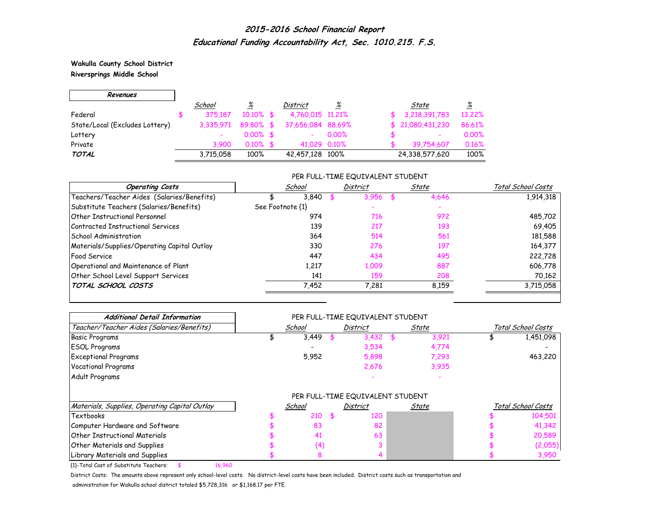**Wakulla County School District Riversprings Middle School**

 $\Gamma$ 

 $\overline{\phantom{0}}$ 

| Revenues                       |           |              |                   |          |                          |          |
|--------------------------------|-----------|--------------|-------------------|----------|--------------------------|----------|
|                                | School    | <u>%</u>     | <b>District</b>   | <u>%</u> | State                    | <u>%</u> |
| Federal                        | 375.187   | $10.10\%$ \$ | 4,760,015 11,21%  |          | 3,218,391,783            | 13.22%   |
| State/Local (Excludes Lottery) | 3.335.971 | 89.80% \$    | 37,656,084 88,69% |          | \$21,080,431,230         | 86.61%   |
| Lottery                        |           | $0.00\%$ \$  |                   | $0.00\%$ | $\overline{\phantom{0}}$ | 0.00%    |
| Private                        | 3.900     | $0.10\%$ \$  | 41.029 0.10%      |          | 39.754.607               | 0.16%    |
| <b>TOTAL</b>                   | 3,715,058 | 100%         | 42,457,128 100%   |          | 24,338,577,620           | 100%     |

### PER FULL-TIME EQUIVALENT STUDENT

| <b>Operating Costs</b>                      | School           | District | State | Total School Costs |
|---------------------------------------------|------------------|----------|-------|--------------------|
| Teachers/Teacher Aides (Salaries/Benefits)  | 3.840            | 3.956    | 4,646 | 1,914,318          |
| Substitute Teachers (Salaries/Benefits)     | See Footnote {1} |          |       |                    |
| Other Instructional Personnel               | 974              | 716      | 972   | 485,702            |
| Contracted Instructional Services           | 139              | 217      | 193   | 69,405             |
| School Administration                       | 364              | 514      | 561   | 181,588            |
| Materials/Supplies/Operating Capital Outlay | 330              | 276      | 197   | 164,377            |
| <b>Food Service</b>                         | 447              | 434      | 495   | 222,728            |
| Operational and Maintenance of Plant        | 1,217            | 1,009    | 887   | 606,778            |
| Other School Level Support Services         | 141              | 159      | 208   | 70,162             |
| TOTAL SCHOOL COSTS                          | 7,452            | 7,281    | 8,159 | 3,715,058          |

| <b>Additional Detail Information</b>          |        |      | PER FULL-TIME EQUIVALENT STUDENT |       |       |                    |
|-----------------------------------------------|--------|------|----------------------------------|-------|-------|--------------------|
| Teacher/Teacher Aides (Salaries/Benefits)     | School |      | <b>District</b>                  | State |       | Total School Costs |
| <b>Basic Programs</b>                         | 3,449  |      | 3,432                            |       | 3,921 | 1,451,098          |
| <b>ESOL Programs</b>                          |        |      | 3,534                            |       | 4,774 |                    |
| <b>Exceptional Programs</b>                   | 5,952  |      | 5,898                            |       | 7,293 | 463,220            |
| <b>Vocational Programs</b>                    |        |      | 2,676                            |       | 3,935 |                    |
| Adult Programs                                |        |      |                                  |       |       |                    |
|                                               |        |      | PER FULL-TIME EQUIVALENT STUDENT |       |       |                    |
| Materials, Supplies, Operating Capital Outlay | School |      | <b>District</b>                  | State |       | Total School Costs |
| Textbooks                                     | 210    | - \$ | 120                              |       |       | 104,501            |
| Computer Hardware and Software                | 83     |      | 82                               |       |       | 41,342             |
| <b>Other Instructional Materials</b>          | 41     |      | 63                               |       |       | 20,589             |
| <b>Other Materials and Supplies</b>           | (4)    |      |                                  |       |       | (2,055)            |
| Library Materials and Supplies                | 8      |      |                                  |       |       | 3,950              |

{1}-Total Cost of Substitute Teachers: \$ 16,960

District Costs: The amounts above represent only school-level costs. No district-level costs have been included. District costs such as transportation and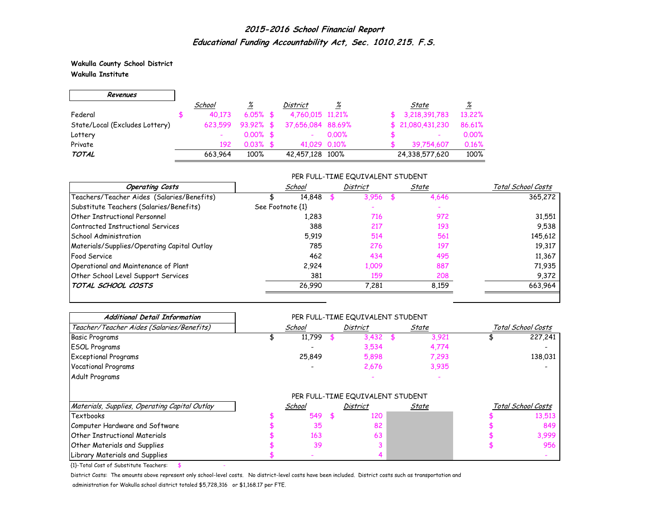**Wakulla County School District Wakulla Institute**

г

| Revenues                       |         |              |                   |          |                          |          |
|--------------------------------|---------|--------------|-------------------|----------|--------------------------|----------|
|                                | School  | <u>%</u>     | <b>District</b>   | %        | State                    | <u>%</u> |
| Federal                        | 40.173  | $6.05\%$ \$  | 4,760,015 11,21%  |          | 3,218,391,783            | 13.22%   |
| State/Local (Excludes Lottery) | 623.599 | $93.92\%$ \$ | 37,656,084 88,69% |          | \$21,080,431,230         | 86.61%   |
| Lottery                        |         | $0.00\%$ \$  |                   | $0.00\%$ | $\overline{\phantom{0}}$ | 0.00%    |
| Private                        | 192     | $0.03\%$ \$  | 41.029 0.10%      |          | 39.754.607               | 0.16%    |
| TOTAL                          | 663.964 | 100%         | 42,457,128 100%   |          | 24,338,577,620           | 100%     |

## PER FULL-TIME EQUIVALENT STUDENT

| <b>Operating Costs</b>                      |                  | School | District | State | Total School Costs |
|---------------------------------------------|------------------|--------|----------|-------|--------------------|
| Teachers/Teacher Aides (Salaries/Benefits)  |                  | 14,848 | 3,956    | 4,646 | 365,272            |
| Substitute Teachers (Salaries/Benefits)     | See Footnote {1} |        |          |       |                    |
| Other Instructional Personnel               |                  | 1,283  | 716      | 972   | 31,551             |
| Contracted Instructional Services           |                  | 388    | 217      | 193   | 9,538              |
| School Administration                       |                  | 5.919  | 514      | 561   | 145,612            |
| Materials/Supplies/Operating Capital Outlay |                  | 785    | 276      | 197   | 19,317             |
| <b>Food Service</b>                         |                  | 462    | 434      | 495   | 11,367             |
| Operational and Maintenance of Plant        |                  | 2,924  | 1,009    | 887   | 71,935             |
| Other School Level Support Services         |                  | 381    | 159      | 208   | 9,372              |
| TOTAL SCHOOL COSTS                          |                  | 26,990 | 7.281    | 8.159 | 663,964            |

| <b>Additional Detail Information</b>          |        |      | PER FULL-TIME EQUIVALENT STUDENT |       |                    |  |
|-----------------------------------------------|--------|------|----------------------------------|-------|--------------------|--|
| Teacher/Teacher Aides (Salaries/Benefits)     | School |      | District                         | State | Total School Costs |  |
| <b>Basic Programs</b>                         | 11,799 |      | 3,432                            | 3,921 | 227,241            |  |
| <b>ESOL Programs</b>                          |        |      | 3,534                            | 4,774 |                    |  |
| <b>Exceptional Programs</b>                   | 25,849 |      | 5,898                            | 7,293 | 138,031            |  |
| <b>Vocational Programs</b>                    |        |      | 2,676                            | 3,935 |                    |  |
| Adult Programs                                |        |      |                                  |       |                    |  |
|                                               |        |      | PER FULL-TIME EQUIVALENT STUDENT |       |                    |  |
| Materials, Supplies, Operating Capital Outlay | School |      | District                         | State | Total School Costs |  |
| Textbooks                                     | 549    | - \$ | 120                              |       | 13,513             |  |
| Computer Hardware and Software                | 35     |      | 82                               |       | 849                |  |
| <b>Other Instructional Materials</b>          | 163    |      | 63                               |       | 3,999              |  |
| Other Materials and Supplies                  | 39     |      |                                  |       | 956                |  |
| Library Materials and Supplies                |        |      |                                  |       |                    |  |

 ${1}$ -Total Cost of Substitute Teachers: \$

District Costs: The amounts above represent only school-level costs. No district-level costs have been included. District costs such as transportation and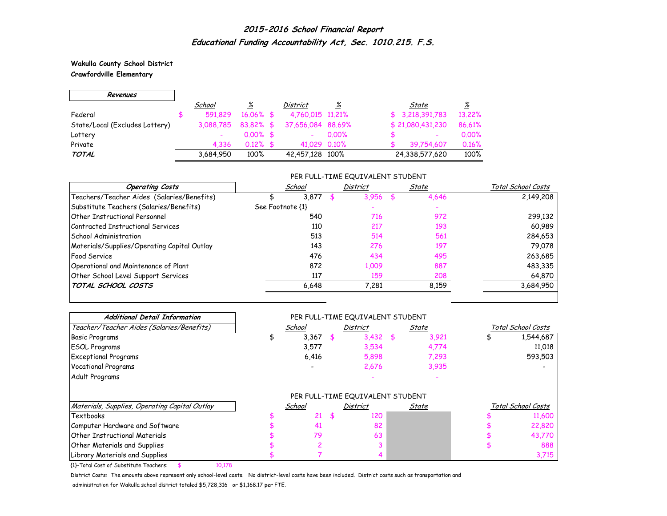**Wakulla County School District Crawfordville Elementary**

 $\Gamma$ 

 $\overline{\phantom{0}}$ 

| Revenues                       |                          |              |                   |          |                                   |
|--------------------------------|--------------------------|--------------|-------------------|----------|-----------------------------------|
|                                | School                   | %            | District          | <u>%</u> | <u>%</u><br>State                 |
| Federal                        | 591.829                  | $16.06\%$ \$ | 4,760,015 11,21%  |          | \$3,218,391,783<br>13.22%         |
| State/Local (Excludes Lottery) | 3.088.785                | $83.82\%$ \$ | 37,656,084 88,69% |          | \$21,080,431,230<br>86.61%        |
| Lottery                        | $\overline{\phantom{a}}$ | $0.00\%$ \$  | ۰                 | $0.00\%$ | 0.00%<br>$\overline{\phantom{a}}$ |
| Private                        | 4.336                    | $0.12\%$ \$  | 41.029 0.10%      |          | 0.16%<br>39.754.607               |
| <b>TOTAL</b>                   | 3,684,950                | 100%         | 42,457,128 100%   |          | 100%<br>24,338,577,620            |

## PER FULL-TIME EQUIVALENT STUDENT

| <b>Operating Costs</b>                      | School           | District | State | Total School Costs |
|---------------------------------------------|------------------|----------|-------|--------------------|
| Teachers/Teacher Aides (Salaries/Benefits)  | 3.877            | 3.956    | 4,646 | 2,149,208          |
| Substitute Teachers (Salaries/Benefits)     | See Footnote {1} |          |       |                    |
| Other Instructional Personnel               | 540              | 716      | 972   | 299,132            |
| Contracted Instructional Services           | 110              | 217      | 193   | 60,989             |
| School Administration                       | 513              | 514      | 561   | 284,653            |
| Materials/Supplies/Operating Capital Outlay | 143              | 276      | 197   | 79,078             |
| <b>Food Service</b>                         | 476              | 434      | 495   | 263,685            |
| Operational and Maintenance of Plant        | 872              | 1,009    | 887   | 483,335            |
| Other School Level Support Services         | 117              | 159      | 208   | 64,870             |
| TOTAL SCHOOL COSTS                          | 6,648            | 7,281    | 8.159 | 3,684,950          |

| <b>Additional Detail Information</b>          |                          |      | PER FULL-TIME EQUIVALENT STUDENT |              |                    |
|-----------------------------------------------|--------------------------|------|----------------------------------|--------------|--------------------|
| Teacher/Teacher Aides (Salaries/Benefits)     | School                   |      | District                         | <u>State</u> | Total School Costs |
| <b>Basic Programs</b>                         | 3,367                    |      | 3,432                            | 3,921        | 1,544,687          |
| <b>ESOL Programs</b>                          | 3,577                    |      | 3,534                            | 4,774        | 11,018             |
| <b>Exceptional Programs</b>                   | 6,416                    |      | 5,898                            | 7,293        | 593,503            |
| <b>Vocational Programs</b>                    | $\overline{\phantom{0}}$ |      | 2,676                            | 3,935        |                    |
| Adult Programs                                |                          |      |                                  |              |                    |
|                                               |                          |      | PER FULL-TIME EQUIVALENT STUDENT |              |                    |
| Materials, Supplies, Operating Capital Outlay | School                   |      | District                         | State        | Total School Costs |
| Textbooks                                     | 21                       | - \$ | 120                              |              | 11,600             |
| Computer Hardware and Software                | 41                       |      | 82                               |              | 22,820             |
| <b>Other Instructional Materials</b>          | 79                       |      | 63                               |              | 43,770             |
| <b>Other Materials and Supplies</b>           |                          |      |                                  |              | 888                |
| Library Materials and Supplies                |                          |      |                                  |              | 3,715              |

{1}-Total Cost of Substitute Teachers: \$ 10,178

District Costs: The amounts above represent only school-level costs. No district-level costs have been included. District costs such as transportation and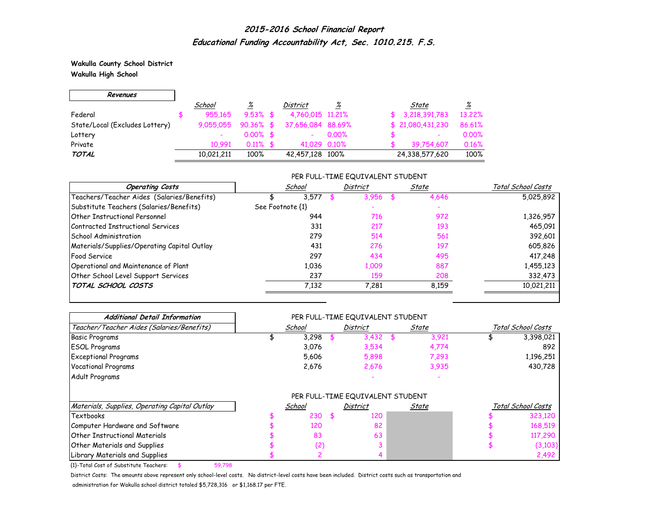**Wakulla County School District Wakulla High School**

 $\Gamma$ 

 $\overline{\phantom{0}}$ 

| Revenues                       |            |              |                   |          |                          |          |
|--------------------------------|------------|--------------|-------------------|----------|--------------------------|----------|
|                                | School     | <u>%</u>     | District          | <u>%</u> | State                    | <u>%</u> |
| Federal                        | 955.165    | $9.53\%$ \$  | 4,760,015 11,21%  |          | \$3,218,391,783          | 13.22%   |
| State/Local (Excludes Lottery) | 9,055,055  | $90.36\%$ \$ | 37,656,084 88,69% |          | \$21,080,431,230         | 86.61%   |
| Lottery                        |            | $0.00\%$ \$  |                   | 0.00%    | $\overline{\phantom{0}}$ | 0.00%    |
| Private                        | 10.991     | $0.11\%$ \$  | 41.029 0.10%      |          | 39.754.607               | 0.16%    |
| <b>TOTAL</b>                   | 10,021,211 | 100%         | 42,457,128 100%   |          | 24,338,577,620           | 100%     |

### PER FULL-TIME EQUIVALENT STUDENT

| <b>Operating Costs</b>                      | School           | <b>District</b> | State | Total School Costs |
|---------------------------------------------|------------------|-----------------|-------|--------------------|
| Teachers/Teacher Aides (Salaries/Benefits)  | 3,577            | 3,956           | 4,646 | 5,025,892          |
| Substitute Teachers (Salaries/Benefits)     | See Footnote {1} |                 |       |                    |
| Other Instructional Personnel               | 944              | 716             | 972   | 1,326,957          |
| Contracted Instructional Services           | 331              | 217             | 193   | 465,091            |
| School Administration                       | 279              | 514             | 561   | 392,601            |
| Materials/Supplies/Operating Capital Outlay | 431              | 276             | 197   | 605,826            |
| <b>Food Service</b>                         | 297              | 434             | 495   | 417,248            |
| Operational and Maintenance of Plant        | 1.036            | 1,009           | 887   | 1,455,123          |
| Other School Level Support Services         | 237              | 159             | 208   | 332,473            |
| TOTAL SCHOOL COSTS                          | 7.132            | 7,281           | 8,159 | 10,021,211         |

| <b>Additional Detail Information</b>          |        |      | PER FULL-TIME EQUIVALENT STUDENT |       |                    |
|-----------------------------------------------|--------|------|----------------------------------|-------|--------------------|
| Teacher/Teacher Aides (Salaries/Benefits)     | School |      | <b>District</b>                  | State | Total School Costs |
| <b>Basic Programs</b>                         | 3,298  |      | 3,432                            | 3,921 | 3,398,021          |
| <b>ESOL Programs</b>                          | 3,076  |      | 3,534                            | 4,774 | 892                |
| <b>Exceptional Programs</b>                   | 5,606  |      | 5,898                            | 7,293 | 1,196,251          |
| <b>Vocational Programs</b>                    | 2,676  |      | 2,676                            | 3,935 | 430,728            |
| Adult Programs                                |        |      |                                  |       |                    |
|                                               |        |      | PER FULL-TIME EQUIVALENT STUDENT |       |                    |
| Materials, Supplies, Operating Capital Outlay | School |      | <b>District</b>                  | State | Total School Costs |
| Textbooks                                     | 230    | - \$ | 120                              |       | 323,120            |
| Computer Hardware and Software                | 120    |      | 82                               |       | 168,519            |
| <b>Other Instructional Materials</b>          | 83     |      | 63                               |       | 117,290            |
| <b>Other Materials and Supplies</b>           | (2)    |      |                                  |       | (3, 103)           |
| Library Materials and Supplies                |        |      |                                  |       | 2,492              |

{1}-Total Cost of Substitute Teachers: \$ 59,798

District Costs: The amounts above represent only school-level costs. No district-level costs have been included. District costs such as transportation and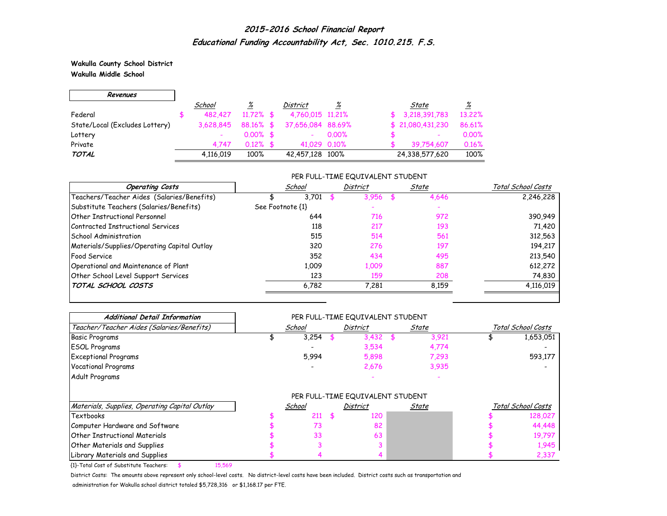**Wakulla County School District Wakulla Middle School**

 $\Gamma$ 

 $\overline{\phantom{0}}$ 

| Revenues                       |           |              |                   |          |                  |          |
|--------------------------------|-----------|--------------|-------------------|----------|------------------|----------|
|                                | School    | <u>%</u>     | District          | <u>%</u> | State            | <u>%</u> |
| Federal                        | 482,427   | $11.72\%$ \$ | 4,760,015 11,21%  |          | 3,218,391,783    | 13.22%   |
| State/Local (Excludes Lottery) | 3.628.845 | 88.16% \$    | 37,656,084 88,69% |          | \$21,080,431,230 | 86.61%   |
| Lottery                        |           | $0.00\%$ \$  |                   | 0.00%    | ٠                | 0.00%    |
| Private                        | 4.747     | $0.12\%$ \$  | 41.029 0.10%      |          | 39.754.607       | 0.16%    |
| <b>TOTAL</b>                   | 4,116,019 | 100%         | 42,457,128 100%   |          | 24,338,577,620   | 100%     |

### PER FULL-TIME EQUIVALENT STUDENT

| <b>Operating Costs</b>                      | School           | <b>District</b> | State | Total School Costs |
|---------------------------------------------|------------------|-----------------|-------|--------------------|
| Teachers/Teacher Aides (Salaries/Benefits)  | 3.701            | 3,956           | 4,646 | 2,246,228          |
| Substitute Teachers (Salaries/Benefits)     | See Footnote {1} |                 |       |                    |
| <b>Other Instructional Personnel</b>        | 644              | 716             | 972   | 390,949            |
| Contracted Instructional Services           | 118              | 217             | 193   | 71,420             |
| School Administration                       | 515              | 514             | 561   | 312,563            |
| Materials/Supplies/Operating Capital Outlay | 320              | 276             | 197   | 194,217            |
| <b>Food Service</b>                         | 352              | 434             | 495   | 213,540            |
| Operational and Maintenance of Plant        | 1.009            | 1,009           | 887   | 612,272            |
| Other School Level Support Services         | 123              | 159             | 208   | 74,830             |
| TOTAL SCHOOL COSTS                          | 6,782            | 7,281           | 8,159 | 4,116,019          |

| <b>Additional Detail Information</b>          |        |      | PER FULL-TIME EQUIVALENT STUDENT |       |  |                    |
|-----------------------------------------------|--------|------|----------------------------------|-------|--|--------------------|
| Teacher/Teacher Aides (Salaries/Benefits)     | School |      | <b>District</b>                  | State |  | Total School Costs |
| <b>Basic Programs</b>                         | 3,254  |      | 3,432                            | 3,921 |  | 1,653,051          |
| <b>ESOL Programs</b>                          |        |      | 3,534                            | 4,774 |  |                    |
| <b>Exceptional Programs</b>                   | 5,994  |      | 5,898                            | 7,293 |  | 593,177            |
| <b>Vocational Programs</b>                    |        |      | 2,676                            | 3,935 |  |                    |
| Adult Programs                                |        |      |                                  |       |  |                    |
|                                               |        |      | PER FULL-TIME EQUIVALENT STUDENT |       |  |                    |
| Materials, Supplies, Operating Capital Outlay | School |      | District                         | State |  | Total School Costs |
| Textbooks                                     | 211    | - \$ | 120                              |       |  | 128,027            |
| Computer Hardware and Software                | 73     |      | 82                               |       |  | 44,448             |
| <b>Other Instructional Materials</b>          | 33     |      | 63                               |       |  | 19,797             |
| <b>Other Materials and Supplies</b>           |        |      |                                  |       |  | 1,945              |
| Library Materials and Supplies                |        |      |                                  |       |  | 2,337              |

{1}-Total Cost of Substitute Teachers: \$ 15,569

District Costs: The amounts above represent only school-level costs. No district-level costs have been included. District costs such as transportation and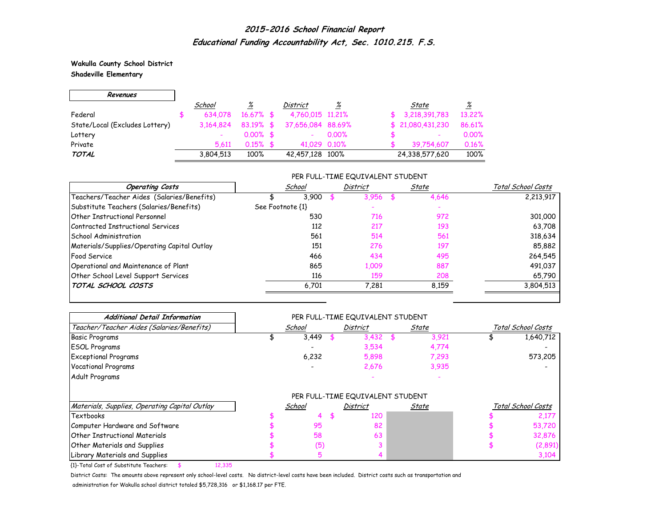**Wakulla County School District Shadeville Elementary**

 $\Gamma$ 

 $\overline{\phantom{0}}$ 

| Revenues                       |           |              |                   |          |                          |          |
|--------------------------------|-----------|--------------|-------------------|----------|--------------------------|----------|
|                                | School    | <u>%</u>     | District          | <u>%</u> | State                    | <u>%</u> |
| Federal                        | 634.078   | $16.67\%$ \$ | 4,760,015 11,21%  |          | 3,218,391,783            | 13.22%   |
| State/Local (Excludes Lottery) | 3,164,824 | $83.19%$ \$  | 37,656,084 88,69% |          | \$21,080,431,230         | 86.61%   |
| Lottery                        |           | $0.00\%$ \$  |                   | $0.00\%$ | $\overline{\phantom{a}}$ | 0.00%    |
| Private                        | 5.611     | $0.15\%$ \$  | 41.029 0.10%      |          | 39.754.607               | 0.16%    |
| <b>TOTAL</b>                   | 3,804,513 | 100%         | 42,457,128 100%   |          | 24,338,577,620           | 100%     |

### PER FULL-TIME EQUIVALENT STUDENT

| <b>Operating Costs</b>                      | School           | <b>District</b> | State | Total School Costs |
|---------------------------------------------|------------------|-----------------|-------|--------------------|
| Teachers/Teacher Aides (Salaries/Benefits)  | 3.900            | 3,956           | 4,646 | 2,213,917          |
| Substitute Teachers (Salaries/Benefits)     | See Footnote {1} |                 |       |                    |
| Other Instructional Personnel               | 530              | 716             | 972   | 301,000            |
| Contracted Instructional Services           | 112              | 217             | 193   | 63,708             |
| School Administration                       | 561              | 514             | 561   | 318,634            |
| Materials/Supplies/Operating Capital Outlay | 151              | 276             | 197   | 85,882             |
| <b>Food Service</b>                         | 466              | 434             | 495   | 264,545            |
| Operational and Maintenance of Plant        | 865              | 1,009           | 887   | 491,037            |
| Other School Level Support Services         | 116              | 159             | 208   | 65,790             |
| TOTAL SCHOOL COSTS                          | 6,701            | 7,281           | 8,159 | 3,804,513          |

| <b>Additional Detail Information</b>          |        | PER FULL-TIME EQUIVALENT STUDENT |              |                    |
|-----------------------------------------------|--------|----------------------------------|--------------|--------------------|
| Teacher/Teacher Aides (Salaries/Benefits)     | School | <b>District</b>                  | <u>State</u> | Total School Costs |
| <b>Basic Programs</b>                         | 3,449  | 3,432                            | 3,921        | 1,640,712          |
| <b>ESOL Programs</b>                          |        | 3,534                            | 4,774        |                    |
| <b>Exceptional Programs</b>                   | 6,232  | 5,898                            | 7,293        | 573,205            |
| <b>Vocational Programs</b>                    |        | 2,676                            | 3,935        |                    |
| Adult Programs                                |        |                                  |              |                    |
|                                               |        | PER FULL-TIME EQUIVALENT STUDENT |              |                    |
| Materials, Supplies, Operating Capital Outlay | School | District                         | State        | Total School Costs |
| Textbooks                                     | 4      | 120                              |              | 2,177              |
| Computer Hardware and Software                | 95     | 82                               |              | 53,720             |
| <b>Other Instructional Materials</b>          | 58     | 63                               |              | 32,876             |
| <b>Other Materials and Supplies</b>           | (5)    |                                  |              | (2,891)            |
| Library Materials and Supplies                |        |                                  |              | 3,104              |

{1}-Total Cost of Substitute Teachers: \$ 12,335

District Costs: The amounts above represent only school-level costs. No district-level costs have been included. District costs such as transportation and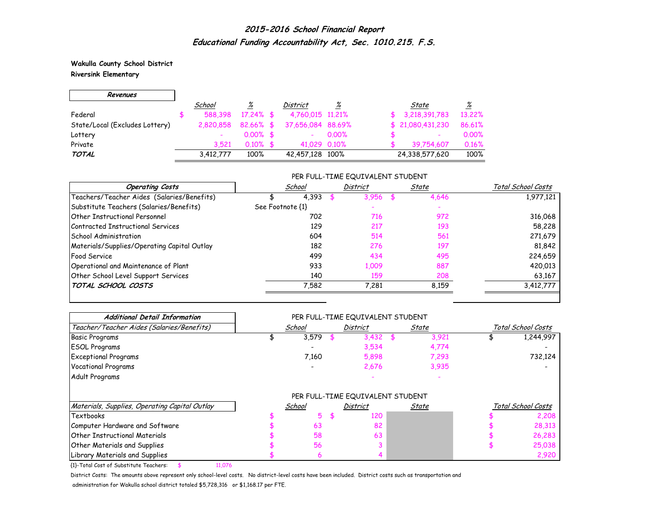**Wakulla County School District Riversink Elementary**

г

| Revenues                       |           |              |                   |          |                          |          |
|--------------------------------|-----------|--------------|-------------------|----------|--------------------------|----------|
|                                | School    | <u>%</u>     | District          | <u>%</u> | State                    | <u>%</u> |
| Federal                        | 588.398   | $17.24\%$ \$ | 4,760,015 11,21%  |          | 3,218,391,783            | 13.22%   |
| State/Local (Excludes Lottery) | 2.820.858 | $82.66\%$ \$ | 37,656,084 88,69% |          | \$21,080,431,230         | 86.61%   |
| Lottery                        |           | $0.00\%$ \$  |                   | $0.00\%$ | $\overline{\phantom{0}}$ | 0.00%    |
| Private                        | 3.521     | $0.10\%$ \$  | 41,029 0,10%      |          | 39.754.607               | 0.16%    |
| <b>TOTAL</b>                   | 3,412,777 | 100%         | 42,457,128 100%   |          | 24,338,577,620           | 100%     |

## PER FULL-TIME EQUIVALENT STUDENT

| <b>Operating Costs</b>                      | School           | <b>District</b> | State | Total School Costs |
|---------------------------------------------|------------------|-----------------|-------|--------------------|
| Teachers/Teacher Aides (Salaries/Benefits)  | 4,393            | 3,956           | 4,646 | 1,977,121          |
| Substitute Teachers (Salaries/Benefits)     | See Footnote {1} |                 |       |                    |
| Other Instructional Personnel               | 702              | 716             | 972   | 316,068            |
| Contracted Instructional Services           | 129              | 217             | 193   | 58,228             |
| School Administration                       | 604              | 514             | 561   | 271,679            |
| Materials/Supplies/Operating Capital Outlay | 182              | 276             | 197   | 81,842             |
| <b>Food Service</b>                         | 499              | 434             | 495   | 224,659            |
| Operational and Maintenance of Plant        | 933              | 1,009           | 887   | 420,013            |
| Other School Level Support Services         | 140              | 159             | 208   | 63,167             |
| TOTAL SCHOOL COSTS                          | 7,582            | 7,281           | 8,159 | 3,412,777          |

| <b>Additional Detail Information</b>          |        | PER FULL-TIME EQUIVALENT STUDENT |              |                    |
|-----------------------------------------------|--------|----------------------------------|--------------|--------------------|
| Teacher/Teacher Aides (Salaries/Benefits)     | School | <b>District</b>                  | <u>State</u> | Total School Costs |
| <b>Basic Programs</b>                         | 3,579  | 3,432                            | 3,921        | 1,244,997          |
| <b>ESOL Programs</b>                          |        | 3,534                            | 4,774        |                    |
| <b>Exceptional Programs</b>                   | 7,160  | 5,898                            | 7,293        | 732,124            |
| <b>Vocational Programs</b>                    |        | 2,676                            | 3,935        |                    |
| Adult Programs                                |        |                                  |              |                    |
|                                               |        | PER FULL-TIME EQUIVALENT STUDENT |              |                    |
| Materials, Supplies, Operating Capital Outlay | School | District                         | State        | Total School Costs |
| Textbooks                                     | 5      | 120                              |              | 2,208              |
| Computer Hardware and Software                | 63     | 82                               |              | 28,313             |
| Other Instructional Materials                 | 58     | 63                               |              | 26,283             |
| Other Materials and Supplies                  | 56     |                                  |              | 25,038             |
| Library Materials and Supplies                |        |                                  |              | 2,920              |

{1}-Total Cost of Substitute Teachers: \$ 11,076

District Costs: The amounts above represent only school-level costs. No district-level costs have been included. District costs such as transportation and